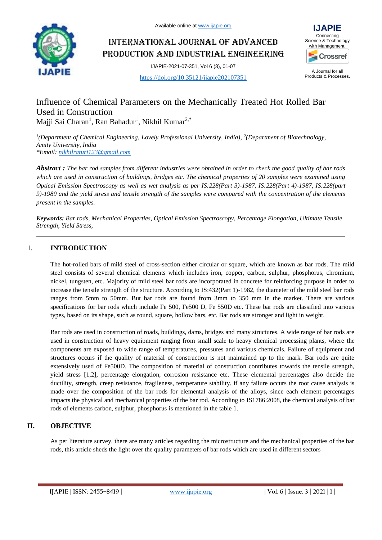

International Journal of Advanced Production and Industrial Engineering

IJAPIE-2021-07-351, Vol 6 (3), 01-07

<https://doi.org/10.35121/ijapie202107351>



A Journal for all Products & Processes.

# Influence of Chemical Parameters on the Mechanically Treated Hot Rolled Bar Used in Construction Majji Sai Charan<sup>1</sup>, Ran Bahadur<sup>1</sup>, Nikhil Kumar<sup>2,\*</sup>

<sup>1</sup>(Department of Chemical Engineering, Lovely Professional University, India), <sup>2</sup>(Department of Biotechnology, *Amity University, India \*Email: [nikhilraturi123@gmail.com](mailto:nikhilraturi123@gmail.com)*

*Abstract : The bar rod samples from different industries were obtained in order to check the good quality of bar rods which are used in construction of buildings, bridges etc. The chemical properties of 20 samples were examined using Optical Emission Spectroscopy as well as wet analysis as per IS:228(Part 3)-1987, IS:228(Part 4)-1987, IS:228(part 9)-1989 and the yield stress and tensile strength of the samples were compared with the concentration of the elements present in the samples.* 

*Keywords: Bar rods, Mechanical Properties, Optical Emission Spectroscopy, Percentage Elongation, Ultimate Tensile Strength, Yield Stress,* 

## 1. **INTRODUCTION**

The hot-rolled bars of mild steel of cross-section either circular or square, which are known as bar rods. The mild steel consists of several chemical elements which includes iron, copper, carbon, sulphur, phosphorus, chromium, nickel, tungsten, etc. Majority of mild steel bar rods are incorporated in concrete for reinforcing purpose in order to increase the tensile strength of the structure. According to IS:432(Part 1)-1982, the diameter of the mild steel bar rods ranges from 5mm to 50mm. But bar rods are found from 3mm to 350 mm in the market. There are various specifications for bar rods which include Fe 500, Fe500 D, Fe 550D etc. These bar rods are classified into various types, based on its shape, such as round, square, hollow bars, etc. Bar rods are stronger and light in weight.

Bar rods are used in construction of roads, buildings, dams, bridges and many structures. A wide range of bar rods are used in construction of heavy equipment ranging from small scale to heavy chemical processing plants, where the components are exposed to wide range of temperatures, pressures and various chemicals. Failure of equipment and structures occurs if the quality of material of construction is not maintained up to the mark. Bar rods are quite extensively used of Fe500D. The composition of material of construction contributes towards the tensile strength, yield stress [1,2], percentage elongation, corrosion resistance etc. These elemental percentages also decide the ductility, strength, creep resistance, fragileness, temperature stability. if any failure occurs the root cause analysis is made over the composition of the bar rods for elemental analysis of the alloys, since each element percentages impacts the physical and mechanical properties of the bar rod. According to IS1786:2008, the chemical analysis of bar rods of elements carbon, sulphur, phosphorus is mentioned in the table 1.

### **II. OBJECTIVE**

As per literature survey, there are many articles regarding the microstructure and the mechanical properties of the bar rods, this article sheds the light over the quality parameters of bar rods which are used in different sectors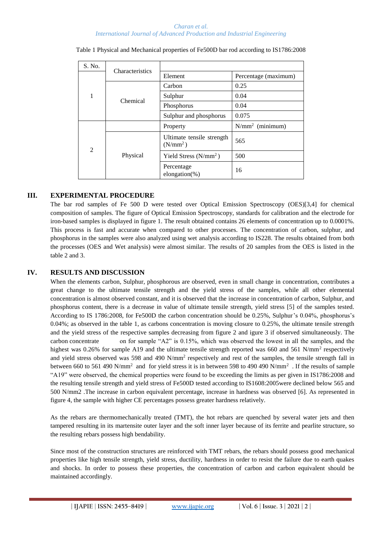#### *Charan et al. International Journal of Advanced Production and Industrial Engineering*

| S. No.         | Characteristics |                                         |                                                         |  |  |  |
|----------------|-----------------|-----------------------------------------|---------------------------------------------------------|--|--|--|
|                |                 | Element                                 | Percentage (maximum)                                    |  |  |  |
|                |                 | Carbon                                  | 0.25                                                    |  |  |  |
| 1              | Chemical        | Sulphur                                 | 0.04                                                    |  |  |  |
|                |                 | Phosphorus                              | 0.04<br>0.075<br>$N/mm^2$ (minimum)<br>565<br>500<br>16 |  |  |  |
|                |                 | Sulphur and phosphorus                  |                                                         |  |  |  |
|                |                 | Property                                |                                                         |  |  |  |
| $\overline{2}$ |                 | Ultimate tensile strength<br>$(N/mm^2)$ |                                                         |  |  |  |
|                | Physical        | Yield Stress $(N/mm^2)$                 |                                                         |  |  |  |
|                |                 | Percentage<br>elongation $(\%)$         |                                                         |  |  |  |

Table 1 Physical and Mechanical properties of Fe500D bar rod according to IS1786:2008

### **III. EXPERIMENTAL PROCEDURE**

The bar rod samples of Fe 500 D were tested over Optical Emission Spectroscopy (OES)[3,4] for chemical composition of samples. The figure of Optical Emission Spectroscopy, standards for calibration and the electrode for iron-based samples is displayed in figure 1. The result obtained contains 26 elements of concentration up to 0.0001%. This process is fast and accurate when compared to other processes. The concentration of carbon, sulphur, and phosphorus in the samples were also analyzed using wet analysis according to IS228. The results obtained from both the processes (OES and Wet analysis) were almost similar. The results of 20 samples from the OES is listed in the table 2 and 3.

### **IV. RESULTS AND DISCUSSION**

When the elements carbon, Sulphur, phosphorous are observed, even in small change in concentration, contributes a great change to the ultimate tensile strength and the yield stress of the samples, while all other elemental concentration is almost observed constant, and it is observed that the increase in concentration of carbon, Sulphur, and phosphorus content, there is a decrease in value of ultimate tensile strength, yield stress [5] of the samples tested. According to IS 1786:2008, for Fe500D the carbon concentration should be 0.25%, Sulphur's 0.04%, phosphorus's 0.04%; as observed in the table 1, as carbons concentration is moving closure to 0.25%, the ultimate tensile strength and the yield stress of the respective samples decreasing from figure 2 and igure 3 if observed simultaneously. The carbon concentrate on for sample "A2" is 0.15%, which was observed the lowest in all the samples, and the highest was 0.26% for sample A19 and the ultimate tensile strength reported was 660 and 561 N/mm<sup>2</sup> respectively and yield stress observed was 598 and 490 N/mm<sup>2</sup> respectively and rest of the samples, the tensile strength fall in between 660 to 561 490 N/mm<sup>2</sup> and for yield stress it is in between 598 to 490 490 N/mm<sup>2</sup>. If the results of sample "A19" were observed, the chemical properties were found to be exceeding the limits as per given in IS1786:2008 and the resulting tensile strength and yield stress of Fe500D tested according to IS1608:2005were declined below 565 and 500 N/mm2 .The increase in carbon equivalent percentage, increase in hardness was observed [6]. As represented in figure 4, the sample with higher CE percentages possess greater hardness relatively.

As the rebars are thermomechanically treated (TMT), the hot rebars are quenched by several water jets and then tampered resulting in its martensite outer layer and the soft inner layer because of its ferrite and pearlite structure, so the resulting rebars possess high bendability.

Since most of the construction structures are reinforced with TMT rebars, the rebars should possess good mechanical properties like high tensile strength, yield stress, ductility, hardness in order to resist the failure due to earth quakes and shocks. In order to possess these properties, the concentration of carbon and carbon equivalent should be maintained accordingly.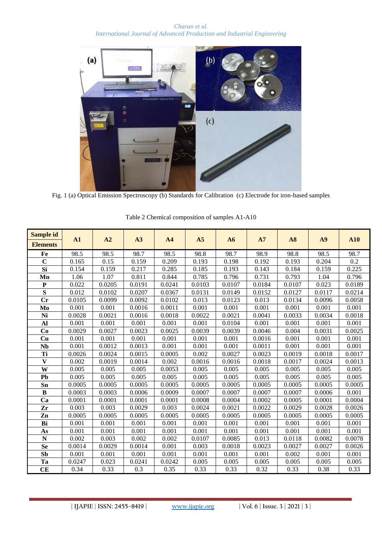*Charan et al. International Journal of Advanced Production and Industrial Engineering*



Fig. 1 (a) Optical Emission Spectroscopy (b) Standards for Calibration (c) Electrode for iron-based samples

| Sample id               | A1     | A2     | A3     | A <sub>4</sub> |        |        | A7     |        |        | A10    |
|-------------------------|--------|--------|--------|----------------|--------|--------|--------|--------|--------|--------|
| <b>Elements</b>         |        |        |        |                | A5     | A6     |        | A8     | A9     |        |
| Fe                      | 98.5   | 98.5   | 98.7   | 98.5           | 98.8   | 98.7   | 98.9   | 98.8   | 98.5   | 98.7   |
| $\overline{C}$          | 0.165  | 0.15   | 0.159  | 0.209          | 0.193  | 0.198  | 0.192  | 0.193  | 0.204  | 0.2    |
| Si                      | 0.154  | 0.159  | 0.217  | 0.285          | 0.185  | 0.193  | 0.143  | 0.184  | 0.159  | 0.225  |
| Mn                      | 1.06   | 1.07   | 0.811  | 0.844          | 0.785  | 0.796  | 0.731  | 0.793  | 1.04   | 0.796  |
| $\mathbf{P}$            | 0.022  | 0.0205 | 0.0191 | 0.0241         | 0.0103 | 0.0107 | 0.0184 | 0.0107 | 0.023  | 0.0189 |
| S                       | 0.012  | 0.0102 | 0.0207 | 0.0367         | 0.0131 | 0.0149 | 0.0152 | 0.0127 | 0.0117 | 0.0214 |
| $C_{r}$                 | 0.0105 | 0.0099 | 0.0092 | 0.0102         | 0.013  | 0.0123 | 0.013  | 0.0134 | 0.0096 | 0.0058 |
| Mo                      | 0.001  | 0.001  | 0.0016 | 0.0011         | 0.001  | 0.001  | 0.001  | 0.001  | 0.001  | 0.001  |
| Ni                      | 0.0028 | 0.0021 | 0.0016 | 0.0018         | 0.0022 | 0.0021 | 0.0041 | 0.0033 | 0.0034 | 0.0018 |
| Al                      | 0.001  | 0.001  | 0.001  | 0.001          | 0.001  | 0.0104 | 0.001  | 0.001  | 0.001  | 0.001  |
| Co                      | 0.0029 | 0.0027 | 0.0023 | 0.0025         | 0.0039 | 0.0039 | 0.0046 | 0.004  | 0.0031 | 0.0025 |
| Cu                      | 0.001  | 0.001  | 0.001  | 0.001          | 0.001  | 0.001  | 0.0016 | 0.001  | 0.001  | 0.001  |
| <b>Nb</b>               | 0.001  | 0.0012 | 0.0013 | 0.001          | 0.001  | 0.001  | 0.0011 | 0.001  | 0.001  | 0.001  |
| Ti                      | 0.0026 | 0.0024 | 0.0015 | 0.0005         | 0.002  | 0.0027 | 0.0023 | 0.0019 | 0.0018 | 0.0017 |
| $\overline{\mathbf{V}}$ | 0.002  | 0.0019 | 0.0014 | 0.002          | 0.0016 | 0.0016 | 0.0018 | 0.0017 | 0.0024 | 0.0013 |
| W                       | 0.005  | 0.005  | 0.005  | 0.0053         | 0.005  | 0.005  | 0.005  | 0.005  | 0.005  | 0.005  |
| Pb                      | 0.005  | 0.005  | 0.005  | 0.005          | 0.005  | 0.005  | 0.005  | 0.005  | 0.005  | 0.005  |
| Sn                      | 0.0005 | 0.0005 | 0.0005 | 0.0005         | 0.0005 | 0.0005 | 0.0005 | 0.0005 | 0.0005 | 0.0005 |
| $\bf{B}$                | 0.0003 | 0.0003 | 0.0006 | 0.0009         | 0.0007 | 0.0007 | 0.0007 | 0.0007 | 0.0006 | 0.001  |
| Ca                      | 0.0001 | 0.0001 | 0.0001 | 0.0001         | 0.0008 | 0.0004 | 0.0002 | 0.0005 | 0.0001 | 0.0004 |
| Zr                      | 0.003  | 0.003  | 0.0029 | 0.003          | 0.0024 | 0.0021 | 0.0022 | 0.0029 | 0.0028 | 0.0026 |
| Zn                      | 0.0005 | 0.0005 | 0.0005 | 0.0005         | 0.0005 | 0.0005 | 0.0005 | 0.0005 | 0.0005 | 0.0005 |
| Bi                      | 0.001  | 0.001  | 0.001  | 0.001          | 0.001  | 0.001  | 0.001  | 0.001  | 0.001  | 0.001  |
| As                      | 0.001  | 0.001  | 0.001  | 0.001          | 0.001  | 0.001  | 0.001  | 0.001  | 0.001  | 0.001  |
| $\overline{\bf N}$      | 0.002  | 0.003  | 0.002  | 0.002          | 0.0107 | 0.0085 | 0.013  | 0.0118 | 0.0082 | 0.0078 |
| Se                      | 0.0014 | 0.0029 | 0.0014 | 0.001          | 0.003  | 0.0018 | 0.0023 | 0.0027 | 0.0027 | 0.0026 |
| S <sub>b</sub>          | 0.001  | 0.001  | 0.001  | 0.001          | 0.001  | 0.001  | 0.001  | 0.002  | 0.001  | 0.001  |
| Ta                      | 0.0247 | 0.023  | 0.0241 | 0.0242         | 0.005  | 0.005  | 0.005  | 0.005  | 0.005  | 0.005  |
| <b>CE</b>               | 0.34   | 0.33   | 0.3    | 0.35           | 0.33   | 0.33   | 0.32   | 0.33   | 0.38   | 0.33   |

Table 2 Chemical composition of samples A1-A10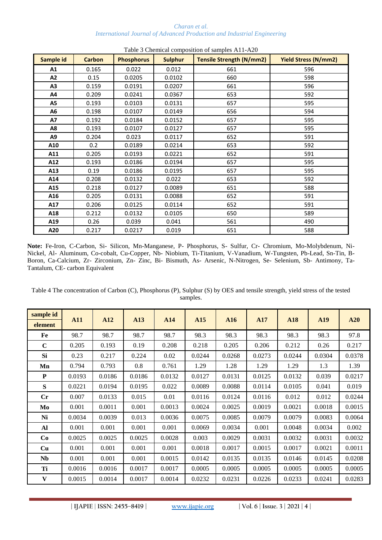#### *Charan et al. International Journal of Advanced Production and Industrial Engineering*

| Sample id | <b>Carbon</b> | <b>Phosphorus</b> | <b>Sulphur</b> | <b>Tensile Strength (N/mm2)</b> | <b>Yield Stress (N/mm2)</b> |
|-----------|---------------|-------------------|----------------|---------------------------------|-----------------------------|
| A1        | 0.165         | 0.022             | 0.012          | 661                             | 596                         |
| A2        | 0.15          | 0.0205            | 0.0102         | 660                             | 598                         |
| A3        | 0.159         | 0.0191            | 0.0207         | 661                             | 596                         |
| A4        | 0.209         | 0.0241            | 0.0367         | 653                             | 592                         |
| A5        | 0.193         | 0.0103            | 0.0131         | 657                             | 595                         |
| А6        | 0.198         | 0.0107            | 0.0149         | 656                             | 594                         |
| A7        | 0.192         | 0.0184            | 0.0152         | 657                             | 595                         |
| A8        | 0.193         | 0.0107            | 0.0127         | 657                             | 595                         |
| A9        | 0.204         | 0.023             | 0.0117         | 652                             | 591                         |
| A10       | 0.2           | 0.0189            | 0.0214         | 653                             | 592                         |
| A11       | 0.205         | 0.0193            | 0.0221         | 652                             | 591                         |
| A12       | 0.193         | 0.0186            | 0.0194         | 657                             | 595                         |
| A13       | 0.19          | 0.0186            | 0.0195         | 657                             | 595                         |
| A14       | 0.208         | 0.0132            | 0.022          | 653                             | 592                         |
| A15       | 0.218         | 0.0127            | 0.0089         | 651                             | 588                         |
| A16       | 0.205         | 0.0131            | 0.0088         | 652                             | 591                         |
| A17       | 0.206         | 0.0125            | 0.0114         | 652                             | 591                         |
| A18       | 0.212         | 0.0132            | 0.0105         | 650                             | 589                         |
| A19       | 0.26          | 0.039             | 0.041          | 561                             | 490                         |
| A20       | 0.217         | 0.0217            | 0.019          | 651                             | 588                         |

Table 3 Chemical composition of samples A11-A20

**Note:** Fe-Iron, C-Carbon, Si- Silicon, Mn-Manganese, P- Phosphorus, S- Sulfur, Cr- Chromium, Mo-Molybdenum, Ni-Nickel, Al- Aluminum, Co-cobalt, Cu-Copper, Nb- Niobium, Ti-Titanium, V-Vanadium, W-Tungsten, Pb-Lead, Sn-Tin, B-Boron, Ca-Calcium, Zr- Zirconium, Zn- Zinc, Bi- Bismuth, As- Arsenic, N-Nitrogen, Se- Selenium, Sb- Antimony, Ta-Tantalum, CE- carbon Equivalent

Table 4 The concentration of Carbon (C), Phosphorus (P), Sulphur (S) by OES and tensile strength, yield stress of the tested samples.

| sample id   |            |        |        |        |        |        |        |        |        |        |
|-------------|------------|--------|--------|--------|--------|--------|--------|--------|--------|--------|
| element     | <b>A11</b> | A12    | A13    | A14    | A15    | A16    | A17    | A18    | A19    | A20    |
| Fe          | 98.7       | 98.7   | 98.7   | 98.7   | 98.3   | 98.3   | 98.3   | 98.3   | 98.3   | 97.8   |
| $\mathbf C$ | 0.205      | 0.193  | 0.19   | 0.208  | 0.218  | 0.205  | 0.206  | 0.212  | 0.26   | 0.217  |
| <b>Si</b>   | 0.23       | 0.217  | 0.224  | 0.02   | 0.0244 | 0.0268 | 0.0273 | 0.0244 | 0.0304 | 0.0378 |
| Mn          | 0.794      | 0.793  | 0.8    | 0.761  | 1.29   | 1.28   | 1.29   | 1.29   | 1.3    | 1.39   |
| P           | 0.0193     | 0.0186 | 0.0186 | 0.0132 | 0.0127 | 0.0131 | 0.0125 | 0.0132 | 0.039  | 0.0217 |
| S           | 0.0221     | 0.0194 | 0.0195 | 0.022  | 0.0089 | 0.0088 | 0.0114 | 0.0105 | 0.041  | 0.019  |
| Cr          | 0.007      | 0.0133 | 0.015  | 0.01   | 0.0116 | 0.0124 | 0.0116 | 0.012  | 0.012  | 0.0244 |
| Mo          | 0.001      | 0.0011 | 0.001  | 0.0013 | 0.0024 | 0.0025 | 0.0019 | 0.0021 | 0.0018 | 0.0015 |
| Ni          | 0.0034     | 0.0039 | 0.013  | 0.0036 | 0.0075 | 0.0085 | 0.0079 | 0.0079 | 0.0083 | 0.0064 |
| Al          | 0.001      | 0.001  | 0.001  | 0.001  | 0.0069 | 0.0034 | 0.001  | 0.0048 | 0.0034 | 0.002  |
| Co          | 0.0025     | 0.0025 | 0.0025 | 0.0028 | 0.003  | 0.0029 | 0.0031 | 0.0032 | 0.0031 | 0.0032 |
| Cu          | 0.001      | 0.001  | 0.001  | 0.001  | 0.0018 | 0.0017 | 0.0015 | 0.0017 | 0.0021 | 0.0011 |
| Nb          | 0.001      | 0.001  | 0.001  | 0.0015 | 0.0142 | 0.0135 | 0.0135 | 0.0146 | 0.0145 | 0.0208 |
| Ti          | 0.0016     | 0.0016 | 0.0017 | 0.0017 | 0.0005 | 0.0005 | 0.0005 | 0.0005 | 0.0005 | 0.0005 |
| V           | 0.0015     | 0.0014 | 0.0017 | 0.0014 | 0.0232 | 0.0231 | 0.0226 | 0.0233 | 0.0241 | 0.0283 |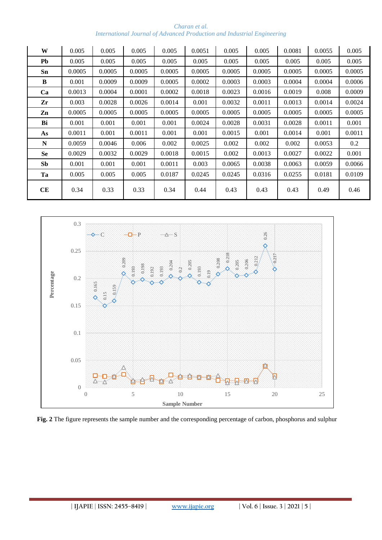| Charan et al.                                                                  |  |  |  |  |  |  |  |  |
|--------------------------------------------------------------------------------|--|--|--|--|--|--|--|--|
| <b>International Journal of Advanced Production and Industrial Engineering</b> |  |  |  |  |  |  |  |  |

| W         | 0.005  | 0.005  | 0.005  | 0.005  | 0.0051 | 0.005  | 0.005  | 0.0081 | 0.0055 | 0.005  |
|-----------|--------|--------|--------|--------|--------|--------|--------|--------|--------|--------|
| Pb        | 0.005  | 0.005  | 0.005  | 0.005  | 0.005  | 0.005  | 0.005  | 0.005  | 0.005  | 0.005  |
| Sn        | 0.0005 | 0.0005 | 0.0005 | 0.0005 | 0.0005 | 0.0005 | 0.0005 | 0.0005 | 0.0005 | 0.0005 |
| B         | 0.001  | 0.0009 | 0.0009 | 0.0005 | 0.0002 | 0.0003 | 0.0003 | 0.0004 | 0.0004 | 0.0006 |
| Ca        | 0.0013 | 0.0004 | 0.0001 | 0.0002 | 0.0018 | 0.0023 | 0.0016 | 0.0019 | 0.008  | 0.0009 |
| Zr        | 0.003  | 0.0028 | 0.0026 | 0.0014 | 0.001  | 0.0032 | 0.0011 | 0.0013 | 0.0014 | 0.0024 |
| Zn        | 0.0005 | 0.0005 | 0.0005 | 0.0005 | 0.0005 | 0.0005 | 0.0005 | 0.0005 | 0.0005 | 0.0005 |
| Bi        | 0.001  | 0.001  | 0.001  | 0.001  | 0.0024 | 0.0028 | 0.0031 | 0.0028 | 0.0011 | 0.001  |
| As        | 0.0011 | 0.001  | 0.0011 | 0.001  | 0.001  | 0.0015 | 0.001  | 0.0014 | 0.001  | 0.0011 |
| N         | 0.0059 | 0.0046 | 0.006  | 0.002  | 0.0025 | 0.002  | 0.002  | 0.002  | 0.0053 | 0.2    |
| <b>Se</b> | 0.0029 | 0.0032 | 0.0029 | 0.0018 | 0.0015 | 0.002  | 0.0013 | 0.0027 | 0.0022 | 0.001  |
| <b>Sb</b> | 0.001  | 0.001  | 0.001  | 0.0011 | 0.003  | 0.0065 | 0.0038 | 0.0063 | 0.0059 | 0.0066 |
| Ta        | 0.005  | 0.005  | 0.005  | 0.0187 | 0.0245 | 0.0245 | 0.0316 | 0.0255 | 0.0181 | 0.0109 |
| CE        | 0.34   | 0.33   | 0.33   | 0.34   | 0.44   | 0.43   | 0.43   | 0.43   | 0.49   | 0.46   |

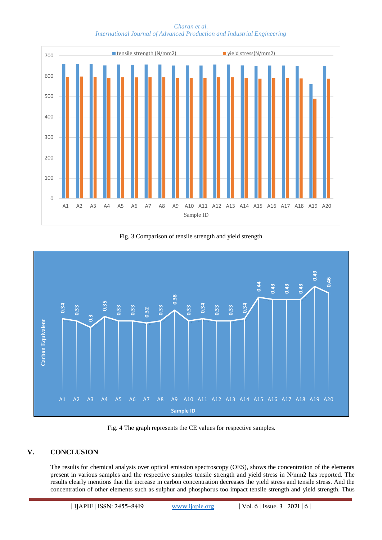

*Charan et al. International Journal of Advanced Production and Industrial Engineering*

Fig. 3 Comparison of tensile strength and yield strength



Fig. 4 The graph represents the CE values for respective samples.

# **V. CONCLUSION**

The results for chemical analysis over optical emission spectroscopy (OES), shows the concentration of the elements present in various samples and the respective samples tensile strength and yield stress in N/mm2 has reported. The results clearly mentions that the increase in carbon concentration decreases the yield stress and tensile stress. And the concentration of other elements such as sulphur and phosphorus too impact tensile strength and yield strength. Thus